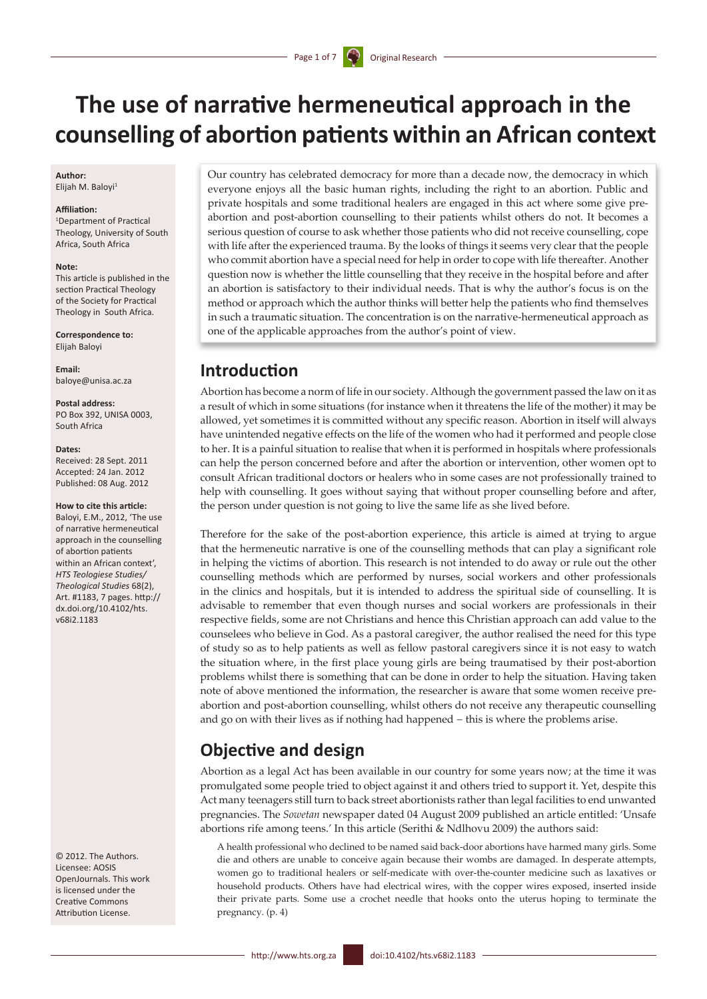# **The use of narrative hermeneutical approach in the counselling of abortion patients within an African context**

### **Author:**

Elijah M. Baloyi1

#### **Affiliation:**

1 Department of Practical Theology, University of South Africa, South Africa

#### **Note:**

This article is published in the section Practical Theology of the Society for Practical Theology in South Africa.

**Correspondence to:** Elijah Baloyi

**Email:** [baloye@unisa.ac.za](mailto:baloye@unisa.ac.za)

#### **Postal address:**

PO Box 392, UNISA 0003, South Africa

#### **Dates:**

Received: 28 Sept. 2011 Accepted: 24 Jan. 2012 Published: 08 Aug. 2012

#### **How to cite this article:**

Baloyi, E.M., 2012, 'The use of narrative hermeneutical approach in the counselling of abortion patients within an African context', *HTS Teologiese Studies/ Theological Studies* 68(2), Art. #1183, 7 pages. [http://](http://dx.doi.org/10.4102/hts.v68i2.1183) [dx.doi.org/10.4102/hts.](http://dx.doi.org/10.4102/hts.v68i2.1183) [v68i2.1183](http://dx.doi.org/10.4102/hts.v68i2.1183)

© 2012. The Authors. Licensee: AOSIS OpenJournals. This work is licensed under the Creative Commons Attribution License.

Our country has celebrated democracy for more than a decade now, the democracy in which everyone enjoys all the basic human rights, including the right to an abortion. Public and private hospitals and some traditional healers are engaged in this act where some give preabortion and post-abortion counselling to their patients whilst others do not. It becomes a serious question of course to ask whether those patients who did not receive counselling, cope with life after the experienced trauma. By the looks of things it seems very clear that the people who commit abortion have a special need for help in order to cope with life thereafter. Another question now is whether the little counselling that they receive in the hospital before and after an abortion is satisfactory to their individual needs. That is why the author's focus is on the method or approach which the author thinks will better help the patients who find themselves in such a traumatic situation. The concentration is on the narrative-hermeneutical approach as one of the applicable approaches from the author's point of view.

# **Introduction**

Abortion has become a norm of life in our society. Although the government passed the law on it as a result of which in some situations (for instance when it threatens the life of the mother) it may be allowed, yet sometimes it is committed without any specific reason. Abortion in itself will always have unintended negative effects on the life of the women who had it performed and people close to her. It is a painful situation to realise that when it is performed in hospitals where professionals can help the person concerned before and after the abortion or intervention, other women opt to consult African traditional doctors or healers who in some cases are not professionally trained to help with counselling. It goes without saying that without proper counselling before and after, the person under question is not going to live the same life as she lived before.

Therefore for the sake of the post-abortion experience, this article is aimed at trying to argue that the hermeneutic narrative is one of the counselling methods that can play a significant role in helping the victims of abortion. This research is not intended to do away or rule out the other counselling methods which are performed by nurses, social workers and other professionals in the clinics and hospitals, but it is intended to address the spiritual side of counselling. It is advisable to remember that even though nurses and social workers are professionals in their respective fields, some are not Christians and hence this Christian approach can add value to the counselees who believe in God. As a pastoral caregiver, the author realised the need for this type of study so as to help patients as well as fellow pastoral caregivers since it is not easy to watch the situation where, in the first place young girls are being traumatised by their post-abortion problems whilst there is something that can be done in order to help the situation. Having taken note of above mentioned the information, the researcher is aware that some women receive preabortion and post-abortion counselling, whilst others do not receive any therapeutic counselling and go on with their lives as if nothing had happened − this is where the problems arise.

# **Objective and design**

Abortion as a legal Act has been available in our country for some years now; at the time it was promulgated some people tried to object against it and others tried to support it. Yet, despite this Act many teenagers still turn to back street abortionists rather than legal facilities to end unwanted pregnancies. The *Sowetan* newspaper dated 04 August 2009 published an article entitled: 'Unsafe abortions rife among teens.' In this article (Serithi & Ndlhovu 2009) the authors said:

A health professional who declined to be named said back-door abortions have harmed many girls. Some die and others are unable to conceive again because their wombs are damaged. In desperate attempts, women go to traditional healers or self-medicate with over-the-counter medicine such as laxatives or household products. Others have had electrical wires, with the copper wires exposed, inserted inside their private parts. Some use a crochet needle that hooks onto the uterus hoping to terminate the pregnancy. (p. 4)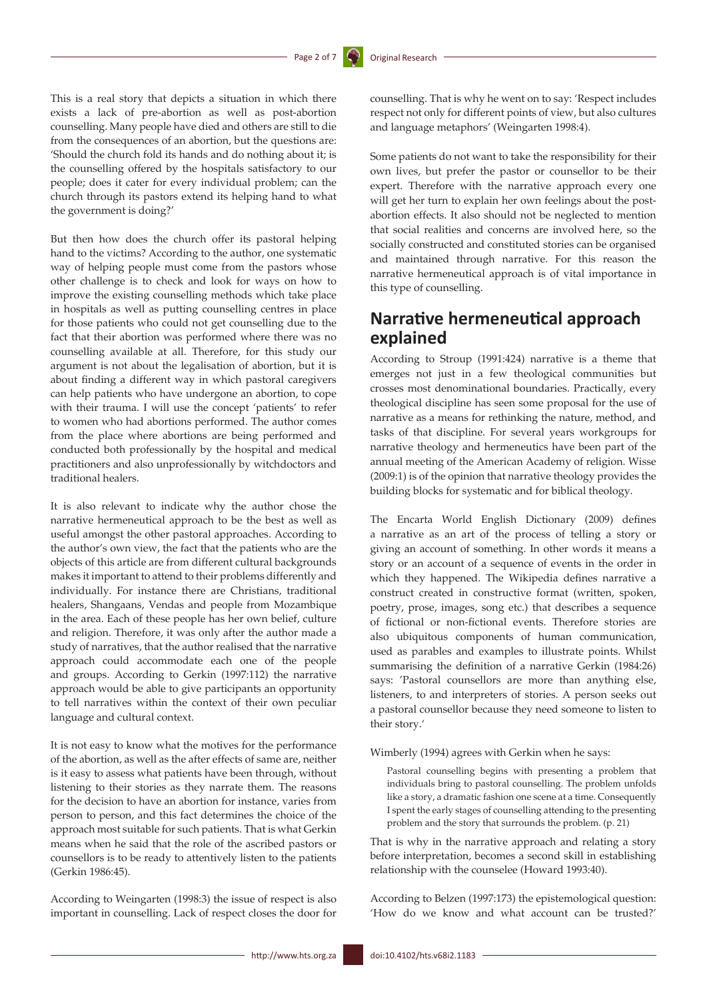This is a real story that depicts a situation in which there exists a lack of pre-abortion as well as post-abortion counselling. Many people have died and others are still to die from the consequences of an abortion, but the questions are: 'Should the church fold its hands and do nothing about it; is the counselling offered by the hospitals satisfactory to our people; does it cater for every individual problem; can the church through its pastors extend its helping hand to what the government is doing?'

But then how does the church offer its pastoral helping hand to the victims? According to the author, one systematic way of helping people must come from the pastors whose other challenge is to check and look for ways on how to improve the existing counselling methods which take place in hospitals as well as putting counselling centres in place for those patients who could not get counselling due to the fact that their abortion was performed where there was no counselling available at all. Therefore, for this study our argument is not about the legalisation of abortion, but it is about finding a different way in which pastoral caregivers can help patients who have undergone an abortion, to cope with their trauma. I will use the concept 'patients' to refer to women who had abortions performed. The author comes from the place where abortions are being performed and conducted both professionally by the hospital and medical practitioners and also unprofessionally by witchdoctors and traditional healers.

It is also relevant to indicate why the author chose the narrative hermeneutical approach to be the best as well as useful amongst the other pastoral approaches. According to the author's own view, the fact that the patients who are the objects of this article are from different cultural backgrounds makes it important to attend to their problems differently and individually. For instance there are Christians, traditional healers, Shangaans, Vendas and people from Mozambique in the area. Each of these people has her own belief, culture and religion. Therefore, it was only after the author made a study of narratives, that the author realised that the narrative approach could accommodate each one of the people and groups. According to Gerkin (1997:112) the narrative approach would be able to give participants an opportunity to tell narratives within the context of their own peculiar language and cultural context.

It is not easy to know what the motives for the performance of the abortion, as well as the after effects of same are, neither is it easy to assess what patients have been through, without listening to their stories as they narrate them. The reasons for the decision to have an abortion for instance, varies from person to person, and this fact determines the choice of the approach most suitable for such patients. That is what Gerkin means when he said that the role of the ascribed pastors or counsellors is to be ready to attentively listen to the patients (Gerkin 1986:45).

According to Weingarten (1998:3) the issue of respect is also important in counselling. Lack of respect closes the door for counselling. That is why he went on to say: 'Respect includes respect not only for different points of view, but also cultures and language metaphors' (Weingarten 1998:4).

Some patients do not want to take the responsibility for their own lives, but prefer the pastor or counsellor to be their expert. Therefore with the narrative approach every one will get her turn to explain her own feelings about the postabortion effects. It also should not be neglected to mention that social realities and concerns are involved here, so the socially constructed and constituted stories can be organised and maintained through narrative. For this reason the narrative hermeneutical approach is of vital importance in this type of counselling.

# **Narrative hermeneutical approach explained**

According to Stroup (1991:424) narrative is a theme that emerges not just in a few theological communities but crosses most denominational boundaries. Practically, every theological discipline has seen some proposal for the use of narrative as a means for rethinking the nature, method, and tasks of that discipline. For several years workgroups for narrative theology and hermeneutics have been part of the annual meeting of the American Academy of religion. Wisse (2009:1) is of the opinion that narrative theology provides the building blocks for systematic and for biblical theology.

The Encarta World English Dictionary (2009) defines a narrative as an art of the process of telling a story or giving an account of something. In other words it means a story or an account of a sequence of events in the order in which they happened. The Wikipedia defines narrative a construct created in constructive format (written, spoken, poetry, prose, images, song etc.) that describes a sequence of fictional or non-fictional events. Therefore stories are also ubiquitous components of human communication, used as parables and examples to illustrate points. Whilst summarising the definition of a narrative Gerkin (1984:26) says: 'Pastoral counsellors are more than anything else, listeners, to and interpreters of stories. A person seeks out a pastoral counsellor because they need someone to listen to their story.'

Wimberly (1994) agrees with Gerkin when he says:

Pastoral counselling begins with presenting a problem that individuals bring to pastoral counselling. The problem unfolds like a story, a dramatic fashion one scene at a time. Consequently I spent the early stages of counselling attending to the presenting problem and the story that surrounds the problem. (p. 21)

That is why in the narrative approach and relating a story before interpretation, becomes a second skill in establishing relationship with the counselee (Howard 1993:40).

According to Belzen (1997:173) the epistemological question: 'How do we know and what account can be trusted?'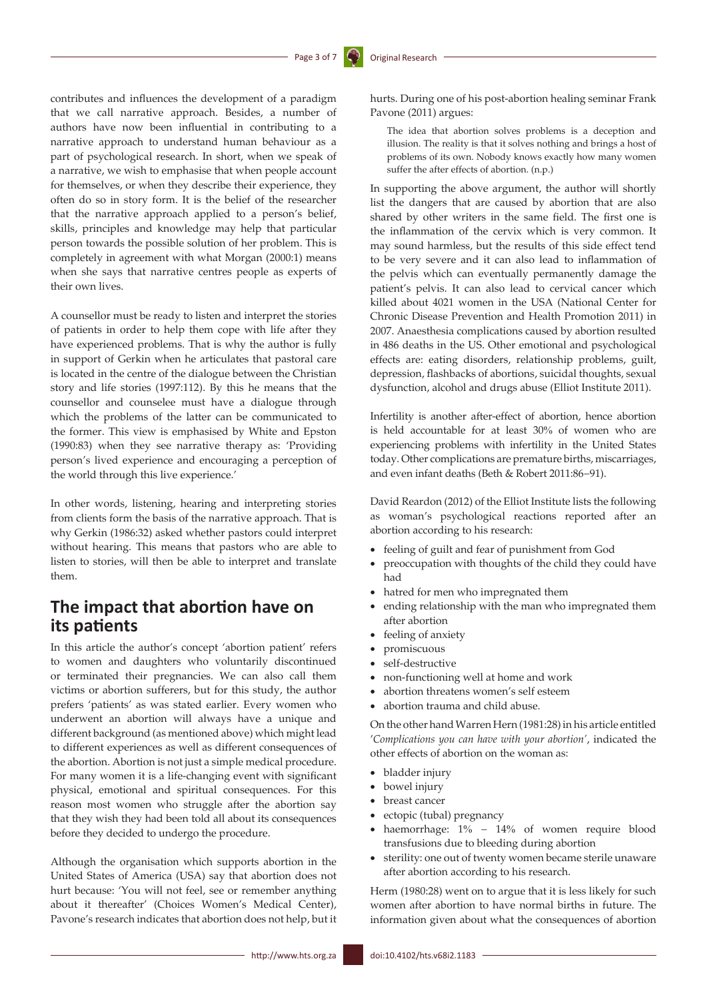contributes and influences the development of a paradigm that we call narrative approach. Besides, a number of authors have now been influential in contributing to a narrative approach to understand human behaviour as a part of psychological research. In short, when we speak of a narrative, we wish to emphasise that when people account for themselves, or when they describe their experience, they often do so in story form. It is the belief of the researcher that the narrative approach applied to a person's belief, skills, principles and knowledge may help that particular person towards the possible solution of her problem. This is completely in agreement with what Morgan (2000:1) means when she says that narrative centres people as experts of their own lives.

A counsellor must be ready to listen and interpret the stories of patients in order to help them cope with life after they have experienced problems. That is why the author is fully in support of Gerkin when he articulates that pastoral care is located in the centre of the dialogue between the Christian story and life stories (1997:112). By this he means that the counsellor and counselee must have a dialogue through which the problems of the latter can be communicated to the former. This view is emphasised by White and Epston (1990:83) when they see narrative therapy as: 'Providing person's lived experience and encouraging a perception of the world through this live experience.'

In other words, listening, hearing and interpreting stories from clients form the basis of the narrative approach. That is why Gerkin (1986:32) asked whether pastors could interpret without hearing. This means that pastors who are able to listen to stories, will then be able to interpret and translate them.

# **The impact that abortion have on its patients**

In this article the author's concept 'abortion patient' refers to women and daughters who voluntarily discontinued or terminated their pregnancies. We can also call them victims or abortion sufferers, but for this study, the author prefers 'patients' as was stated earlier. Every women who underwent an abortion will always have a unique and different background (as mentioned above) which might lead to different experiences as well as different consequences of the abortion. Abortion is not just a simple medical procedure. For many women it is a life-changing event with significant physical, emotional and spiritual consequences. For this reason most women who struggle after the abortion say that they wish they had been told all about its consequences before they decided to undergo the procedure.

Although the organisation which supports abortion in the United States of America (USA) say that abortion does not hurt because: 'You will not feel, see or remember anything about it thereafter' (Choices Women's Medical Center), Pavone's research indicates that abortion does not help, but it hurts. During one of his post-abortion healing seminar Frank Pavone (2011) argues:

The idea that abortion solves problems is a deception and illusion. The reality is that it solves nothing and brings a host of problems of its own. Nobody knows exactly how many women suffer the after effects of abortion. (n.p.)

In supporting the above argument, the author will shortly list the dangers that are caused by abortion that are also shared by other writers in the same field. The first one is the inflammation of the cervix which is very common. It may sound harmless, but the results of this side effect tend to be very severe and it can also lead to inflammation of the pelvis which can eventually permanently damage the patient's pelvis. It can also lead to cervical cancer which killed about 4021 women in the USA (National Center for Chronic Disease Prevention and Health Promotion 2011) in 2007. Anaesthesia complications caused by abortion resulted in 486 deaths in the US. Other emotional and psychological effects are: eating disorders, relationship problems, guilt, depression, flashbacks of abortions, suicidal thoughts, sexual dysfunction, alcohol and drugs abuse (Elliot Institute 2011).

Infertility is another after-effect of abortion, hence abortion is held accountable for at least 30% of women who are experiencing problems with infertility in the United States today. Other complications are premature births, miscarriages, and even infant deaths (Beth & Robert 2011:86−91).

David Reardon (2012) of the Elliot Institute lists the following as woman's psychological reactions reported after an abortion according to his research:

- • feeling of guilt and fear of punishment from God
- preoccupation with thoughts of the child they could have had
- hatred for men who impregnated them
- ending relationship with the man who impregnated them after abortion
- feeling of anxiety
- promiscuous
- self-destructive
- non-functioning well at home and work
- abortion threatens women's self esteem
- abortion trauma and child abuse.

On the other hand Warren Hern (1981:28) in his article entitled '*Complications you can have with your abortion'*, indicated the other effects of abortion on the woman as:

- • bladder injury
- bowel injury
- • breast cancer
- ectopic (tubal) pregnancy
- haemorrhage: 1% − 14% of women require blood transfusions due to bleeding during abortion
- • sterility: one out of twenty women became sterile unaware after abortion according to his research.

Herm (1980:28) went on to argue that it is less likely for such women after abortion to have normal births in future. The information given about what the consequences of abortion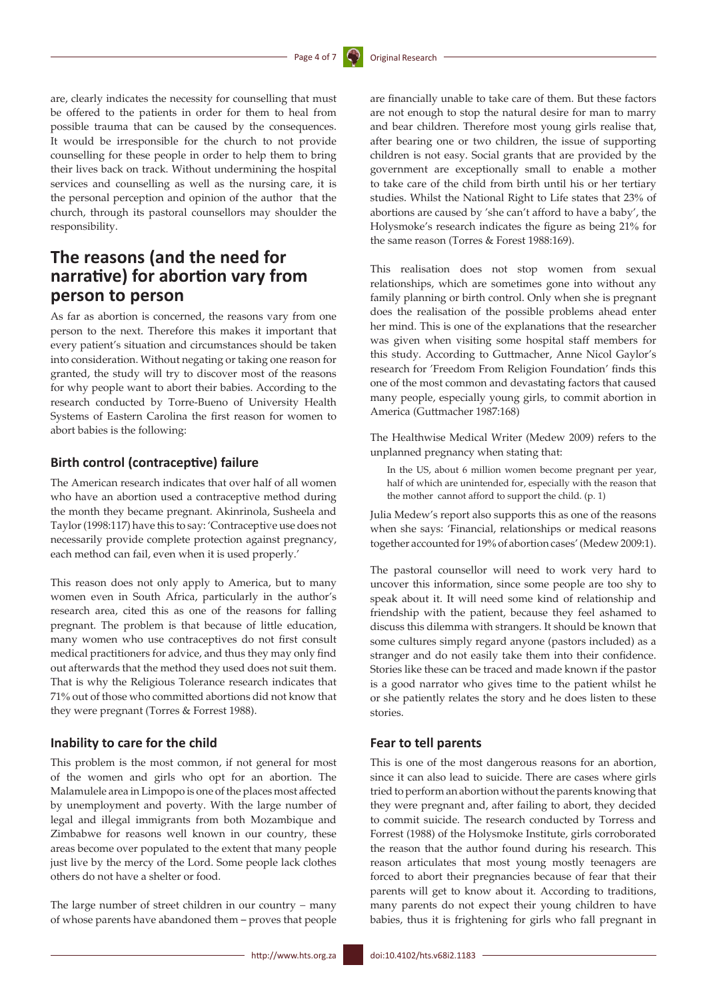are, clearly indicates the necessity for counselling that must be offered to the patients in order for them to heal from possible trauma that can be caused by the consequences. It would be irresponsible for the church to not provide counselling for these people in order to help them to bring their lives back on track. Without undermining the hospital services and counselling as well as the nursing care, it is the personal perception and opinion of the author that the church, through its pastoral counsellors may shoulder the responsibility.

# **The reasons (and the need for narrative) for abortion vary from person to person**

As far as abortion is concerned, the reasons vary from one person to the next. Therefore this makes it important that every patient's situation and circumstances should be taken into consideration. Without negating or taking one reason for granted, the study will try to discover most of the reasons for why people want to abort their babies. According to the research conducted by Torre-Bueno of University Health Systems of Eastern Carolina the first reason for women to abort babies is the following:

### **Birth control (contraceptive) failure**

The American research indicates that over half of all women who have an abortion used a contraceptive method during the month they became pregnant. Akinrinola, Susheela and Taylor (1998:117) have this to say: 'Contraceptive use does not necessarily provide complete protection against pregnancy, each method can fail, even when it is used properly.'

This reason does not only apply to America, but to many women even in South Africa, particularly in the author's research area, cited this as one of the reasons for falling pregnant. The problem is that because of little education, many women who use contraceptives do not first consult medical practitioners for advice, and thus they may only find out afterwards that the method they used does not suit them. That is why the Religious Tolerance research indicates that 71% out of those who committed abortions did not know that they were pregnant (Torres & Forrest 1988).

#### **Inability to care for the child**

This problem is the most common, if not general for most of the women and girls who opt for an abortion. The Malamulele area in Limpopo is one of the places most affected by unemployment and poverty. With the large number of legal and illegal immigrants from both Mozambique and Zimbabwe for reasons well known in our country, these areas become over populated to the extent that many people just live by the mercy of the Lord. Some people lack clothes others do not have a shelter or food.

The large number of street children in our country − many of whose parents have abandoned them – proves that people are financially unable to take care of them. But these factors are not enough to stop the natural desire for man to marry and bear children. Therefore most young girls realise that, after bearing one or two children, the issue of supporting children is not easy. Social grants that are provided by the government are exceptionally small to enable a mother to take care of the child from birth until his or her tertiary studies. Whilst the National Right to Life states that 23% of abortions are caused by 'she can't afford to have a baby', the Holysmoke's research indicates the figure as being 21% for the same reason (Torres & Forest 1988:169).

This realisation does not stop women from sexual relationships, which are sometimes gone into without any family planning or birth control. Only when she is pregnant does the realisation of the possible problems ahead enter her mind. This is one of the explanations that the researcher was given when visiting some hospital staff members for this study. According to Guttmacher, Anne Nicol Gaylor's research for 'Freedom From Religion Foundation' finds this one of the most common and devastating factors that caused many people, especially young girls, to commit abortion in America (Guttmacher 1987:168)

The Healthwise Medical Writer (Medew 2009) refers to the unplanned pregnancy when stating that:

In the US, about 6 million women become pregnant per year, half of which are unintended for, especially with the reason that the mother cannot afford to support the child. (p. 1)

Julia Medew's report also supports this as one of the reasons when she says: 'Financial, relationships or medical reasons together accounted for 19% of abortion cases' (Medew 2009:1).

The pastoral counsellor will need to work very hard to uncover this information, since some people are too shy to speak about it. It will need some kind of relationship and friendship with the patient, because they feel ashamed to discuss this dilemma with strangers. It should be known that some cultures simply regard anyone (pastors included) as a stranger and do not easily take them into their confidence. Stories like these can be traced and made known if the pastor is a good narrator who gives time to the patient whilst he or she patiently relates the story and he does listen to these stories.

#### **Fear to tell parents**

This is one of the most dangerous reasons for an abortion, since it can also lead to suicide. There are cases where girls tried to perform an abortion without the parents knowing that they were pregnant and, after failing to abort, they decided to commit suicide. The research conducted by Torress and Forrest (1988) of the Holysmoke Institute, girls corroborated the reason that the author found during his research. This reason articulates that most young mostly teenagers are forced to abort their pregnancies because of fear that their parents will get to know about it. According to traditions, many parents do not expect their young children to have babies, thus it is frightening for girls who fall pregnant in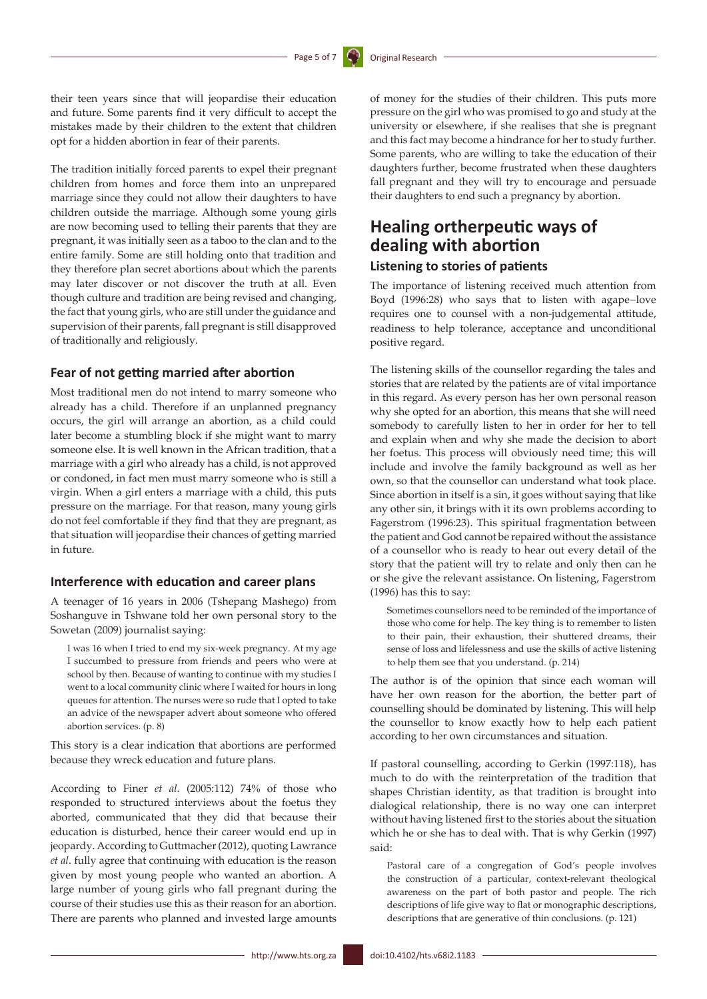their teen years since that will jeopardise their education and future. Some parents find it very difficult to accept the mistakes made by their children to the extent that children opt for a hidden abortion in fear of their parents.

The tradition initially forced parents to expel their pregnant children from homes and force them into an unprepared marriage since they could not allow their daughters to have children outside the marriage. Although some young girls are now becoming used to telling their parents that they are pregnant, it was initially seen as a taboo to the clan and to the entire family. Some are still holding onto that tradition and they therefore plan secret abortions about which the parents may later discover or not discover the truth at all. Even though culture and tradition are being revised and changing, the fact that young girls, who are still under the guidance and supervision of their parents, fall pregnant is still disapproved of traditionally and religiously.

### **Fear of not getting married after abortion**

Most traditional men do not intend to marry someone who already has a child. Therefore if an unplanned pregnancy occurs, the girl will arrange an abortion, as a child could later become a stumbling block if she might want to marry someone else. It is well known in the African tradition, that a marriage with a girl who already has a child, is not approved or condoned, in fact men must marry someone who is still a virgin. When a girl enters a marriage with a child, this puts pressure on the marriage. For that reason, many young girls do not feel comfortable if they find that they are pregnant, as that situation will jeopardise their chances of getting married in future.

### **Interference with education and career plans**

A teenager of 16 years in 2006 (Tshepang Mashego) from Soshanguve in Tshwane told her own personal story to the Sowetan (2009) journalist saying:

I was 16 when I tried to end my six-week pregnancy. At my age I succumbed to pressure from friends and peers who were at school by then. Because of wanting to continue with my studies I went to a local community clinic where I waited for hours in long queues for attention. The nurses were so rude that I opted to take an advice of the newspaper advert about someone who offered abortion services. (p. 8)

This story is a clear indication that abortions are performed because they wreck education and future plans.

According to Finer *et al*. (2005:112) 74% of those who responded to structured interviews about the foetus they aborted, communicated that they did that because their education is disturbed, hence their career would end up in jeopardy. According to Guttmacher (2012), quoting Lawrance *et al*. fully agree that continuing with education is the reason given by most young people who wanted an abortion. A large number of young girls who fall pregnant during the course of their studies use this as their reason for an abortion. There are parents who planned and invested large amounts

of money for the studies of their children. This puts more pressure on the girl who was promised to go and study at the university or elsewhere, if she realises that she is pregnant and this fact may become a hindrance for her to study further. Some parents, who are willing to take the education of their daughters further, become frustrated when these daughters fall pregnant and they will try to encourage and persuade their daughters to end such a pregnancy by abortion.

### **Healing ortherpeutic ways of dealing with abortion Listening to stories of patients**

The importance of listening received much attention from Boyd (1996:28) who says that to listen with agape−love requires one to counsel with a non-judgemental attitude, readiness to help tolerance, acceptance and unconditional positive regard.

The listening skills of the counsellor regarding the tales and stories that are related by the patients are of vital importance in this regard. As every person has her own personal reason why she opted for an abortion, this means that she will need somebody to carefully listen to her in order for her to tell and explain when and why she made the decision to abort her foetus. This process will obviously need time; this will include and involve the family background as well as her own, so that the counsellor can understand what took place. Since abortion in itself is a sin, it goes without saying that like any other sin, it brings with it its own problems according to Fagerstrom (1996:23). This spiritual fragmentation between the patient and God cannot be repaired without the assistance of a counsellor who is ready to hear out every detail of the story that the patient will try to relate and only then can he or she give the relevant assistance. On listening, Fagerstrom (1996) has this to say:

Sometimes counsellors need to be reminded of the importance of those who come for help. The key thing is to remember to listen to their pain, their exhaustion, their shuttered dreams, their sense of loss and lifelessness and use the skills of active listening to help them see that you understand. (p. 214)

The author is of the opinion that since each woman will have her own reason for the abortion, the better part of counselling should be dominated by listening. This will help the counsellor to know exactly how to help each patient according to her own circumstances and situation.

If pastoral counselling, according to Gerkin (1997:118), has much to do with the reinterpretation of the tradition that shapes Christian identity, as that tradition is brought into dialogical relationship, there is no way one can interpret without having listened first to the stories about the situation which he or she has to deal with. That is why Gerkin (1997) said:

Pastoral care of a congregation of God's people involves the construction of a particular, context-relevant theological awareness on the part of both pastor and people. The rich descriptions of life give way to flat or monographic descriptions, descriptions that are generative of thin conclusions. (p. 121)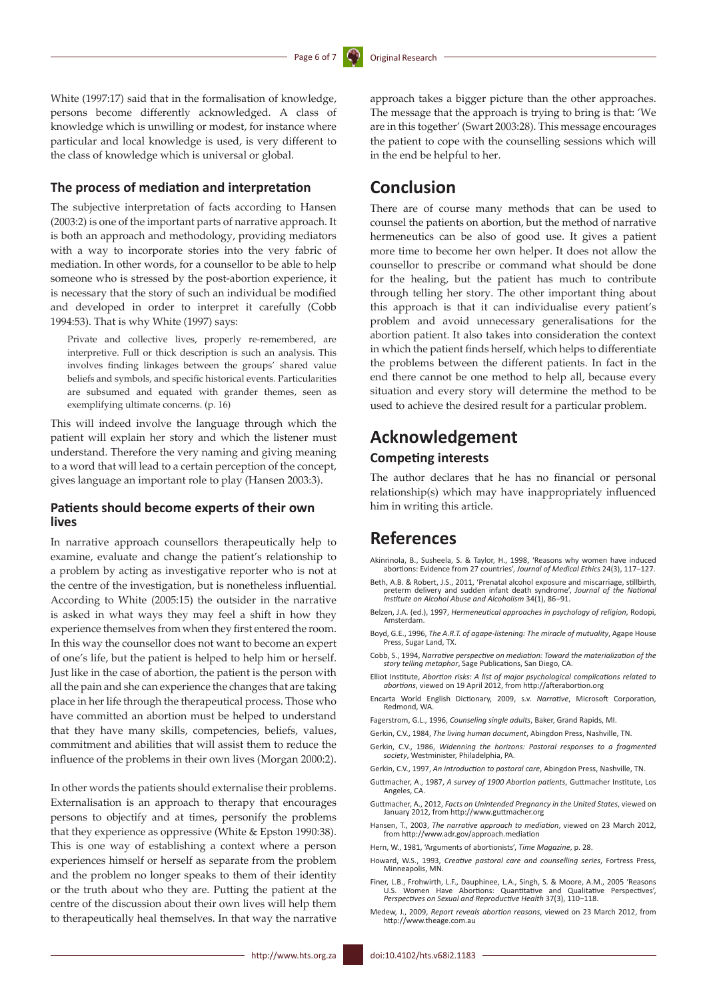White (1997:17) said that in the formalisation of knowledge, persons become differently acknowledged. A class of knowledge which is unwilling or modest, for instance where particular and local knowledge is used, is very different to the class of knowledge which is universal or global.

### **The process of mediation and interpretation**

The subjective interpretation of facts according to Hansen (2003:2) is one of the important parts of narrative approach. It is both an approach and methodology, providing mediators with a way to incorporate stories into the very fabric of mediation. In other words, for a counsellor to be able to help someone who is stressed by the post-abortion experience, it is necessary that the story of such an individual be modified and developed in order to interpret it carefully (Cobb 1994:53). That is why White (1997) says:

Private and collective lives, properly re-remembered, are interpretive. Full or thick description is such an analysis. This involves finding linkages between the groups' shared value beliefs and symbols, and specific historical events. Particularities are subsumed and equated with grander themes, seen as exemplifying ultimate concerns. (p. 16)

This will indeed involve the language through which the patient will explain her story and which the listener must understand. Therefore the very naming and giving meaning to a word that will lead to a certain perception of the concept, gives language an important role to play (Hansen 2003:3).

### **Patients should become experts of their own lives**

In narrative approach counsellors therapeutically help to examine, evaluate and change the patient's relationship to a problem by acting as investigative reporter who is not at the centre of the investigation, but is nonetheless influential. According to White (2005:15) the outsider in the narrative is asked in what ways they may feel a shift in how they experience themselves from when they first entered the room. In this way the counsellor does not want to become an expert of one's life, but the patient is helped to help him or herself. Just like in the case of abortion, the patient is the person with all the pain and she can experience the changes that are taking place in her life through the therapeutical process. Those who have committed an abortion must be helped to understand that they have many skills, competencies, beliefs, values, commitment and abilities that will assist them to reduce the influence of the problems in their own lives (Morgan 2000:2).

In other words the patients should externalise their problems. Externalisation is an approach to therapy that encourages persons to objectify and at times, personify the problems that they experience as oppressive (White & Epston 1990:38). This is one way of establishing a context where a person experiences himself or herself as separate from the problem and the problem no longer speaks to them of their identity or the truth about who they are. Putting the patient at the centre of the discussion about their own lives will help them to therapeutically heal themselves. In that way the narrative approach takes a bigger picture than the other approaches. The message that the approach is trying to bring is that: 'We are in this together' (Swart 2003:28). This message encourages the patient to cope with the counselling sessions which will in the end be helpful to her.

### **Conclusion**

There are of course many methods that can be used to counsel the patients on abortion, but the method of narrative hermeneutics can be also of good use. It gives a patient more time to become her own helper. It does not allow the counsellor to prescribe or command what should be done for the healing, but the patient has much to contribute through telling her story. The other important thing about this approach is that it can individualise every patient's problem and avoid unnecessary generalisations for the abortion patient. It also takes into consideration the context in which the patient finds herself, which helps to differentiate the problems between the different patients. In fact in the end there cannot be one method to help all, because every situation and every story will determine the method to be used to achieve the desired result for a particular problem.

### **Acknowledgement**

### **Competing interests**

The author declares that he has no financial or personal relationship(s) which may have inappropriately influenced him in writing this article.

### **References**

Akinrinola, B., Susheela, S. & Taylor, H., 1998, 'Reasons why women have induced abortions: Evidence from 27 countries', *Journal of Medical Ethics* 24(3), 117−127.

Beth, A.B. & Robert, J.S., 2011, 'Prenatal alcohol exposure and miscarriage, stillbirth, preterm delivery and sudden infant death syndrome', *Journal of the National Institute on Alcohol Abuse and Alcoholism* 34(1), 86−91.

- Belzen, J.A. (ed.), 1997, *Hermeneutical approaches in psychology of religion*, Rodopi, Amsterdam.
- Boyd, G.E., 1996, *The A.R.T. of agape-listening: The miracle of mutuality*, Agape House Press, Sugar Land, TX.
- Cobb, S., 1994, *Narrative perspective on mediation: Toward the materialization of the story telling metaphor*, Sage Publications, San Diego, CA.
- Elliot Institute, *Abortion risks: A list of major psychological complications related to abortions*, viewed on 19 April 2012, from <http://afterabortion.org>
- Encarta World English Dictionary, 2009, s.v. *Narrative*, Microsoft Corporation, Redmond, WA.
- Fagerstrom, G.L., 1996, *Counseling single adults*, Baker, Grand Rapids, MI.
- Gerkin, C.V., 1984, *The living human document*, Abingdon Press, Nashville, TN.
- Gerkin, C.V., 1986, *Widenning the horizons: Pastoral responses to a fragmented*
- *society*, Westminister, Philadelphia, PA. Gerkin, C.V., 1997, *An introduction to pastoral care*, Abingdon Press, Nashville, TN.
- Guttmacher, A., 1987, *A survey of 1900 Abortion patients*, Guttmacher Institute, Los
- Angeles, CA.
- Guttmacher, A., 2012, *Facts on Unintended Pregnancy in the United States*, viewed on January 2012, from <http://www.guttmacher.org>
- Hansen, T., 2003, *The narrative approach to mediation*, viewed on 23 March 2012, from<http://www.adr.gov/approach.mediation>
- Hern, W., 1981, 'Arguments of abortionists', *Time Magazine*, p. 28.
- Howard, W.S., 1993, *Creative pastoral care and counselling series*, Fortress Press, Minneapolis, MN.
- Finer, L.B., Frohwirth, L.F., Dauphinee, L.A., Singh, S. & Moore, A.M., 2005 'Reasons U.S. Women Have Abortions: Quantitative and Qualitative Perspectives', *Perspectives on Sexual and Reproductive Health* 37(3), 110−118.
- Medew, J., 2009, *Report reveals abortion reasons*, viewed on 23 March 2012, from <http://www.theage.com.au>